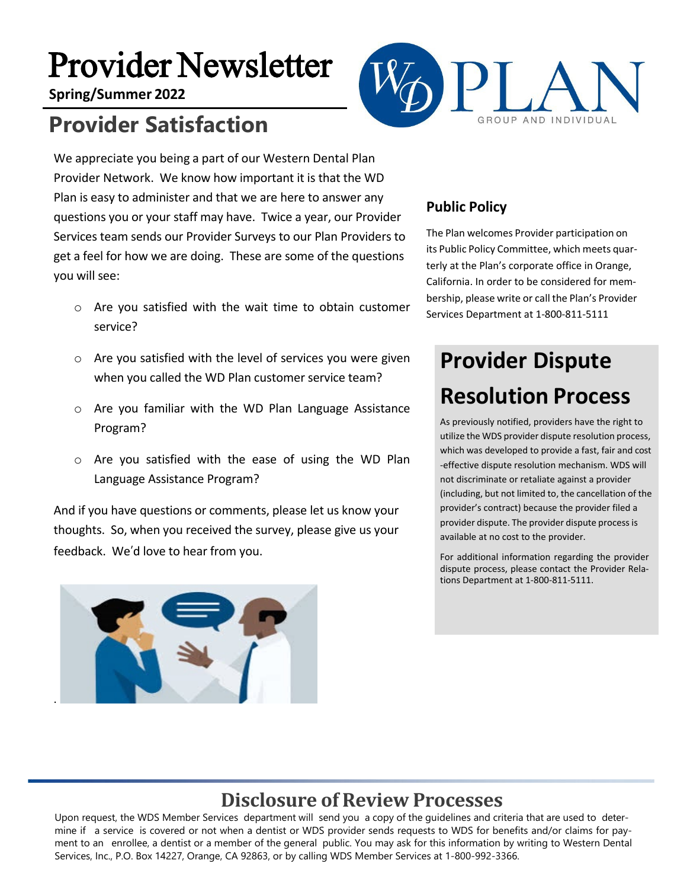# Provider Newsletter

**Spring/Summer 2022**

# **Provider Satisfaction**



We appreciate you being a part of our Western Dental Plan Provider Network. We know how important it is that the WD Plan is easy to administer and that we are here to answer any questions you or your staff may have. Twice a year, our Provider Services team sends our Provider Surveys to our Plan Providers to get a feel for how we are doing. These are some of the questions you will see:

- o Are you satisfied with the wait time to obtain customer service?
- o Are you satisfied with the level of services you were given when you called the WD Plan customer service team?
- o Are you familiar with the WD Plan Language Assistance Program?
- o Are you satisfied with the ease of using the WD Plan Language Assistance Program?

And if you have questions or comments, please let us know your thoughts. So, when you received the survey, please give us your feedback. We'd love to hear from you.



#### **Public Policy**

The Plan welcomes Provider participation on its Public Policy Committee, which meets quarterly at the Plan's corporate office in Orange, California. In order to be considered for membership, please write or call the Plan's Provider Services Department at 1-800-811-5111

# **Provider Dispute Resolution Process**

As previously notified, providers have the right to utilize the WDS provider dispute resolution process, which was developed to provide a fast, fair and cost -effective dispute resolution mechanism. WDS will not discriminate or retaliate against a provider (including, but not limited to, the cancellation of the provider's contract) because the provider filed a provider dispute. The provider dispute process is available at no cost to the provider.

For additional information regarding the provider dispute process, please contact the Provider Relations Department at 1-800-811-5111.

## **Disclosure of Review Processes**

Upon request, the WDS Member Services department will send you a copy of the guidelines and criteria that are used to determine if a service is covered or not when a dentist or WDS provider sends requests to WDS for benefits and/or claims for payment to an enrollee, a dentist or a member of the general public. You may ask for this information by writing to Western Dental Services, Inc., P.O. Box 14227, Orange, CA 92863, or by calling WDS Member Services at 1-800-992-3366.